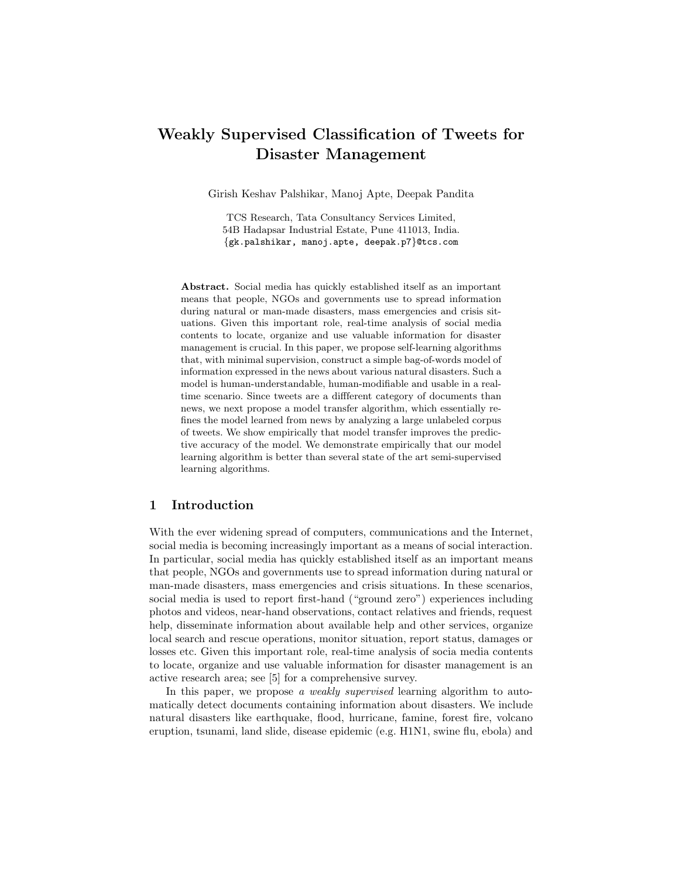# Weakly Supervised Classification of Tweets for Disaster Management

Girish Keshav Palshikar, Manoj Apte, Deepak Pandita

TCS Research, Tata Consultancy Services Limited, 54B Hadapsar Industrial Estate, Pune 411013, India. {gk.palshikar, manoj.apte, deepak.p7}@tcs.com

Abstract. Social media has quickly established itself as an important means that people, NGOs and governments use to spread information during natural or man-made disasters, mass emergencies and crisis situations. Given this important role, real-time analysis of social media contents to locate, organize and use valuable information for disaster management is crucial. In this paper, we propose self-learning algorithms that, with minimal supervision, construct a simple bag-of-words model of information expressed in the news about various natural disasters. Such a model is human-understandable, human-modifiable and usable in a realtime scenario. Since tweets are a diffferent category of documents than news, we next propose a model transfer algorithm, which essentially refines the model learned from news by analyzing a large unlabeled corpus of tweets. We show empirically that model transfer improves the predictive accuracy of the model. We demonstrate empirically that our model learning algorithm is better than several state of the art semi-supervised learning algorithms.

# 1 Introduction

With the ever widening spread of computers, communications and the Internet, social media is becoming increasingly important as a means of social interaction. In particular, social media has quickly established itself as an important means that people, NGOs and governments use to spread information during natural or man-made disasters, mass emergencies and crisis situations. In these scenarios, social media is used to report first-hand ("ground zero") experiences including photos and videos, near-hand observations, contact relatives and friends, request help, disseminate information about available help and other services, organize local search and rescue operations, monitor situation, report status, damages or losses etc. Given this important role, real-time analysis of socia media contents to locate, organize and use valuable information for disaster management is an active research area; see [5] for a comprehensive survey.

In this paper, we propose a weakly supervised learning algorithm to automatically detect documents containing information about disasters. We include natural disasters like earthquake, flood, hurricane, famine, forest fire, volcano eruption, tsunami, land slide, disease epidemic (e.g. H1N1, swine flu, ebola) and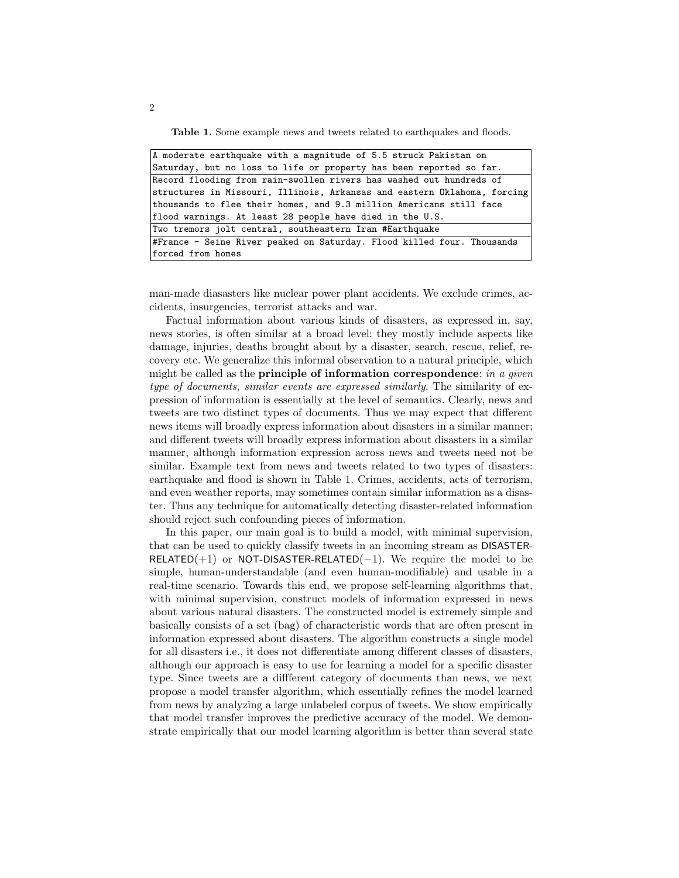Table 1. Some example news and tweets related to earthquakes and floods.

| $ A$ moderate earthquake with a magnitude of 5.5 struck Pakistan on      |  |  |  |
|--------------------------------------------------------------------------|--|--|--|
| Saturday, but no loss to life or property has been reported so far.      |  |  |  |
| Record flooding from rain-swollen rivers has washed out hundreds of      |  |  |  |
| structures in Missouri, Illinois, Arkansas and eastern Oklahoma, forcing |  |  |  |
| thousands to flee their homes, and 9.3 million Americans still face      |  |  |  |
| flood warnings. At least 28 people have died in the U.S.                 |  |  |  |
| Two tremors jolt central, southeastern Iran #Earthquake                  |  |  |  |
| #France - Seine River peaked on Saturday. Flood killed four. Thousands   |  |  |  |
| forced from homes                                                        |  |  |  |

man-made diasasters like nuclear power plant accidents. We exclude crimes, accidents, insurgencies, terrorist attacks and war.

Factual information about various kinds of disasters, as expressed in, say, news stories, is often similar at a broad level: they mostly include aspects like damage, injuries, deaths brought about by a disaster, search, rescue, relief, recovery etc. We generalize this informal observation to a natural principle, which might be called as the **principle of information correspondence**: in a given type of documents, similar events are expressed similarly. The similarity of expression of information is essentially at the level of semantics. Clearly, news and tweets are two distinct types of documents. Thus we may expect that different news items will broadly express information about disasters in a similar manner; and different tweets will broadly express information about disasters in a similar manner, although information expression across news and tweets need not be similar. Example text from news and tweets related to two types of disasters: earthquake and flood is shown in Table 1. Crimes, accidents, acts of terrorism, and even weather reports, may sometimes contain similar information as a disaster. Thus any technique for automatically detecting disaster-related information should reject such confounding pieces of information.

In this paper, our main goal is to build a model, with minimal supervision, that can be used to quickly classify tweets in an incoming stream as DISASTER- $RELATED(+1)$  or NOT-DISASTER-RELATED(-1). We require the model to be simple, human-understandable (and even human-modifiable) and usable in a real-time scenario. Towards this end, we propose self-learning algorithms that, with minimal supervision, construct models of information expressed in news about various natural disasters. The constructed model is extremely simple and basically consists of a set (bag) of characteristic words that are often present in information expressed about disasters. The algorithm constructs a single model for all disasters i.e., it does not differentiate among different classes of disasters, although our approach is easy to use for learning a model for a specific disaster type. Since tweets are a diffferent category of documents than news, we next propose a model transfer algorithm, which essentially refines the model learned from news by analyzing a large unlabeled corpus of tweets. We show empirically that model transfer improves the predictive accuracy of the model. We demonstrate empirically that our model learning algorithm is better than several state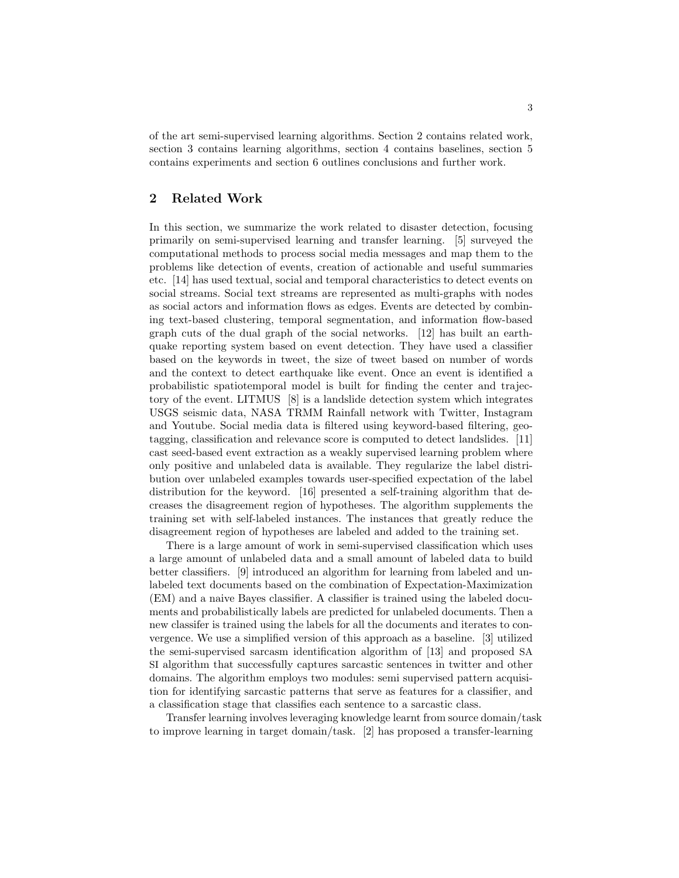of the art semi-supervised learning algorithms. Section 2 contains related work, section 3 contains learning algorithms, section 4 contains baselines, section 5 contains experiments and section 6 outlines conclusions and further work.

# 2 Related Work

In this section, we summarize the work related to disaster detection, focusing primarily on semi-supervised learning and transfer learning. [5] surveyed the computational methods to process social media messages and map them to the problems like detection of events, creation of actionable and useful summaries etc. [14] has used textual, social and temporal characteristics to detect events on social streams. Social text streams are represented as multi-graphs with nodes as social actors and information flows as edges. Events are detected by combining text-based clustering, temporal segmentation, and information flow-based graph cuts of the dual graph of the social networks. [12] has built an earthquake reporting system based on event detection. They have used a classifier based on the keywords in tweet, the size of tweet based on number of words and the context to detect earthquake like event. Once an event is identified a probabilistic spatiotemporal model is built for finding the center and trajectory of the event. LITMUS [8] is a landslide detection system which integrates USGS seismic data, NASA TRMM Rainfall network with Twitter, Instagram and Youtube. Social media data is filtered using keyword-based filtering, geotagging, classification and relevance score is computed to detect landslides. [11] cast seed-based event extraction as a weakly supervised learning problem where only positive and unlabeled data is available. They regularize the label distribution over unlabeled examples towards user-specified expectation of the label distribution for the keyword. [16] presented a self-training algorithm that decreases the disagreement region of hypotheses. The algorithm supplements the training set with self-labeled instances. The instances that greatly reduce the disagreement region of hypotheses are labeled and added to the training set.

There is a large amount of work in semi-supervised classification which uses a large amount of unlabeled data and a small amount of labeled data to build better classifiers. [9] introduced an algorithm for learning from labeled and unlabeled text documents based on the combination of Expectation-Maximization (EM) and a naive Bayes classifier. A classifier is trained using the labeled documents and probabilistically labels are predicted for unlabeled documents. Then a new classifer is trained using the labels for all the documents and iterates to convergence. We use a simplified version of this approach as a baseline. [3] utilized the semi-supervised sarcasm identification algorithm of [13] and proposed SA SI algorithm that successfully captures sarcastic sentences in twitter and other domains. The algorithm employs two modules: semi supervised pattern acquisition for identifying sarcastic patterns that serve as features for a classifier, and a classification stage that classifies each sentence to a sarcastic class.

Transfer learning involves leveraging knowledge learnt from source domain/task to improve learning in target domain/task. [2] has proposed a transfer-learning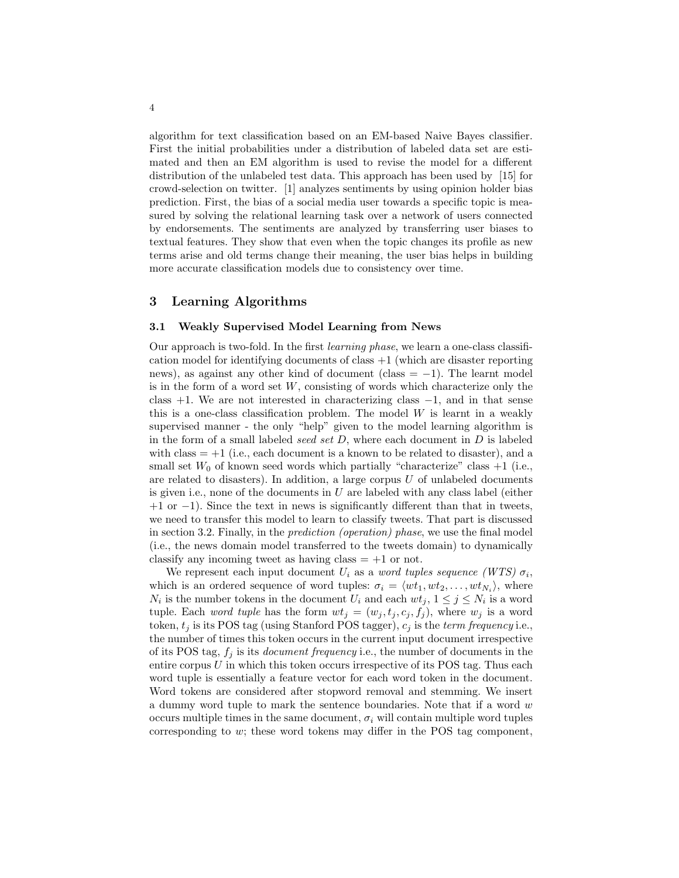algorithm for text classification based on an EM-based Naive Bayes classifier. First the initial probabilities under a distribution of labeled data set are estimated and then an EM algorithm is used to revise the model for a different distribution of the unlabeled test data. This approach has been used by [15] for crowd-selection on twitter. [1] analyzes sentiments by using opinion holder bias prediction. First, the bias of a social media user towards a specific topic is measured by solving the relational learning task over a network of users connected by endorsements. The sentiments are analyzed by transferring user biases to textual features. They show that even when the topic changes its profile as new terms arise and old terms change their meaning, the user bias helps in building more accurate classification models due to consistency over time.

# 3 Learning Algorithms

#### 3.1 Weakly Supervised Model Learning from News

Our approach is two-fold. In the first learning phase, we learn a one-class classification model for identifying documents of class  $+1$  (which are disaster reporting news), as against any other kind of document (class  $= -1$ ). The learnt model is in the form of a word set  $W$ , consisting of words which characterize only the class  $+1$ . We are not interested in characterizing class  $-1$ , and in that sense this is a one-class classification problem. The model  $W$  is learnt in a weakly supervised manner - the only "help" given to the model learning algorithm is in the form of a small labeled seed set  $D$ , where each document in  $D$  is labeled with class  $= +1$  (i.e., each document is a known to be related to disaster), and a small set  $W_0$  of known seed words which partially "characterize" class  $+1$  (i.e., are related to disasters). In addition, a large corpus  $U$  of unlabeled documents is given i.e., none of the documents in  $U$  are labeled with any class label (either  $+1$  or  $-1$ ). Since the text in news is significantly different than that in tweets, we need to transfer this model to learn to classify tweets. That part is discussed in section 3.2. Finally, in the prediction (operation) phase, we use the final model (i.e., the news domain model transferred to the tweets domain) to dynamically classify any incoming tweet as having class  $= +1$  or not.

We represent each input document  $U_i$  as a *word tuples sequence* (WTS)  $\sigma_i$ , which is an ordered sequence of word tuples:  $\sigma_i = \langle wt_1, wt_2, \ldots, wt_{N_i} \rangle$ , where  $N_i$  is the number tokens in the document  $U_i$  and each  $wt_j$ ,  $1 \leq j \leq N_i$  is a word tuple. Each *word tuple* has the form  $wt_i = (w_i, t_i, c_i, f_i)$ , where  $w_i$  is a word token,  $t_i$  is its POS tag (using Stanford POS tagger),  $c_i$  is the term frequency i.e., the number of times this token occurs in the current input document irrespective of its POS tag,  $f_j$  is its *document frequency* i.e., the number of documents in the entire corpus  $U$  in which this token occurs irrespective of its POS tag. Thus each word tuple is essentially a feature vector for each word token in the document. Word tokens are considered after stopword removal and stemming. We insert a dummy word tuple to mark the sentence boundaries. Note that if a word w occurs multiple times in the same document,  $\sigma_i$  will contain multiple word tuples corresponding to w; these word tokens may differ in the POS tag component,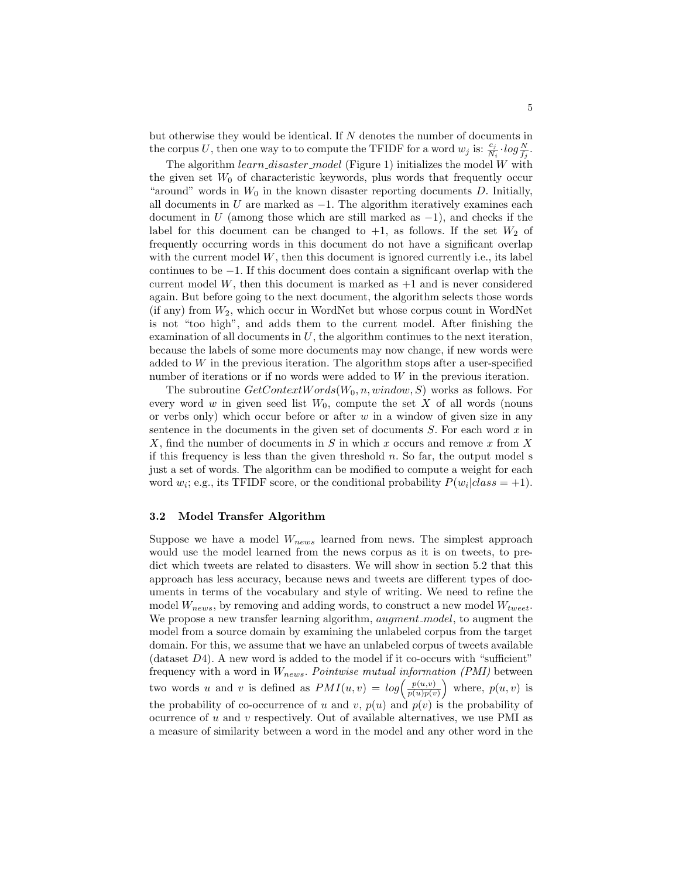but otherwise they would be identical. If  $N$  denotes the number of documents in the corpus U, then one way to to compute the TFIDF for a word  $w_j$  is:  $\frac{c_j}{N_i} \cdot \log \frac{N}{f_j}$ .

The algorithm  $learn\_distance$  model (Figure 1) initializes the model W with the given set  $W_0$  of characteristic keywords, plus words that frequently occur "around" words in  $W_0$  in the known disaster reporting documents D. Initially, all documents in U are marked as  $-1$ . The algorithm iteratively examines each document in U (among those which are still marked as  $-1$ ), and checks if the label for this document can be changed to  $+1$ , as follows. If the set  $W_2$  of frequently occurring words in this document do not have a significant overlap with the current model  $W$ , then this document is ignored currently i.e., its label continues to be −1. If this document does contain a significant overlap with the current model  $W$ , then this document is marked as  $+1$  and is never considered again. But before going to the next document, the algorithm selects those words (if any) from  $W_2$ , which occur in WordNet but whose corpus count in WordNet is not "too high", and adds them to the current model. After finishing the examination of all documents in  $U$ , the algorithm continues to the next iteration, because the labels of some more documents may now change, if new words were added to  $W$  in the previous iteration. The algorithm stops after a user-specified number of iterations or if no words were added to W in the previous iteration.

The subroutine  $GetContextWords(W_0, n, window, S)$  works as follows. For every word w in given seed list  $W_0$ , compute the set X of all words (nouns or verbs only) which occur before or after  $w$  in a window of given size in any sentence in the documents in the given set of documents  $S$ . For each word  $x$  in  $X$ , find the number of documents in  $S$  in which x occurs and remove x from  $X$ if this frequency is less than the given threshold  $n$ . So far, the output model s just a set of words. The algorithm can be modified to compute a weight for each word  $w_i$ ; e.g., its TFIDF score, or the conditional probability  $P(w_i|class=+1)$ .

#### 3.2 Model Transfer Algorithm

Suppose we have a model  $W_{news}$  learned from news. The simplest approach would use the model learned from the news corpus as it is on tweets, to predict which tweets are related to disasters. We will show in section 5.2 that this approach has less accuracy, because news and tweets are different types of documents in terms of the vocabulary and style of writing. We need to refine the model  $W_{news}$ , by removing and adding words, to construct a new model  $W_{tweet}$ . We propose a new transfer learning algorithm, *augment\_model*, to augment the model from a source domain by examining the unlabeled corpus from the target domain. For this, we assume that we have an unlabeled corpus of tweets available (dataset  $D4$ ). A new word is added to the model if it co-occurs with "sufficient" frequency with a word in  $W_{news}$ . Pointwise mutual information (PMI) between two words u and v is defined as  $PMI(u, v) = log\left(\frac{p(u, v)}{p(u, w)}\right)$  $\frac{p(u,v)}{p(u)p(v)}$  where,  $p(u,v)$  is the probability of co-occurrence of u and v,  $p(u)$  and  $p(v)$  is the probability of ocurrence of  $u$  and  $v$  respectively. Out of available alternatives, we use PMI as a measure of similarity between a word in the model and any other word in the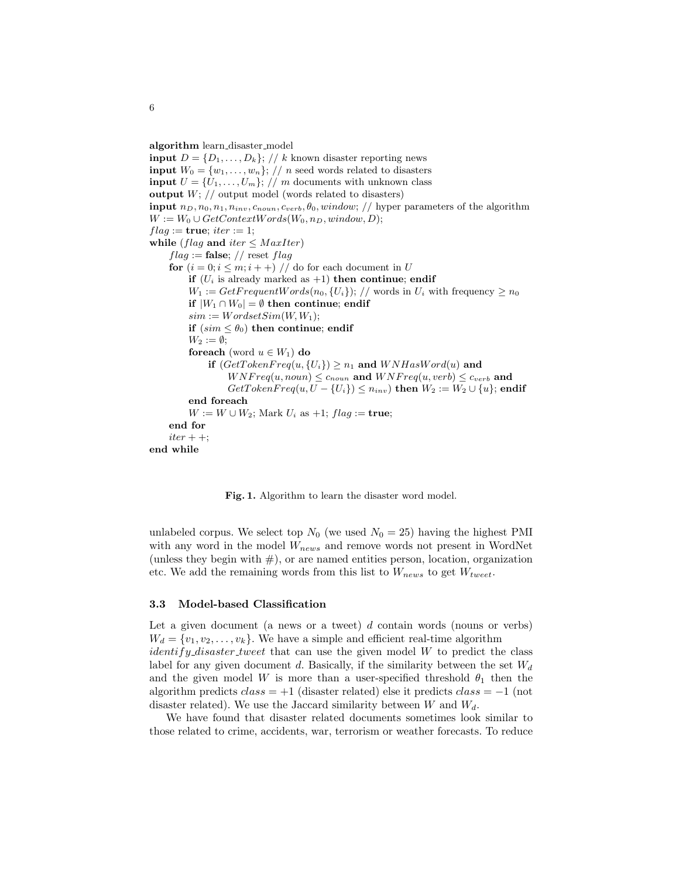algorithm learn disaster model

**input**  $D = \{D_1, \ldots, D_k\};$  // k known disaster reporting news **input**  $W_0 = \{w_1, \ldots, w_n\};$  // *n* seed words related to disasters **input**  $U = \{U_1, \ldots, U_m\};$  // m documents with unknown class **output**  $W$ ;  $//$  output model (words related to disasters) input  $n_D, n_0, n_1, n_{inv}, c_{noun}, c_{verb}, \theta_0, window; // hyper parameters of the algorithm$  $W := W_0 \cup GetContextWords(W_0, n_D, window, D);$  $flag := true; iter := 1;$ while (flag and iter  $\leq$  MaxIter)  $flag := \textbf{false}; // \text{reset flag}$ for  $(i = 0; i \leq m; i++)$  // do for each document in U if  $(U_i$  is already marked as  $+1$ ) then continue; endif  $W_1 := GetFrequentWords(n_0, \{U_i\}); //$  words in  $U_i$  with frequency  $\geq n_0$ if  $|W_1 \cap W_0|$  = ∅ then continue; endif  $sim := WordsetSim(W, W_1);$ if  $(sim \leq \theta_0)$  then continue; endif  $W_2 := \emptyset;$ foreach (word  $u \in W_1$ ) do if  $(GetTokenFreq(u, {U<sub>i</sub>}) \geq n_1$  and  $WNHasWord(u)$  and  $WNFreq(u, noun) \leq c_{noun}$  and  $WNFreq(u, verb) \leq c_{verb}$  and  $GetTokenFreq(u, U - {U<sub>i</sub>}) \leq n_{inv}$  then  $W_2 := W_2 \cup {u}$ ; endif end foreach  $W := W \cup W_2$ ; Mark  $U_i$  as  $+1$ ;  $flag :=$  true; end for  $iter + +;$ end while

Fig. 1. Algorithm to learn the disaster word model.

unlabeled corpus. We select top  $N_0$  (we used  $N_0 = 25$ ) having the highest PMI with any word in the model  $W_{news}$  and remove words not present in WordNet (unless they begin with  $#$ ), or are named entities person, location, organization etc. We add the remaining words from this list to  $W_{news}$  to get  $W_{tweet}$ .

#### 3.3 Model-based Classification

Let a given document (a news or a tweet)  $d$  contain words (nouns or verbs)  $W_d = \{v_1, v_2, \ldots, v_k\}.$  We have a simple and efficient real-time algorithm *identify disaster tweet* that can use the given model  $W$  to predict the class label for any given document d. Basically, if the similarity between the set  $W_d$ and the given model W is more than a user-specified threshold  $\theta_1$  then the algorithm predicts  $class = +1$  (disaster related) else it predicts  $class = -1$  (not disaster related). We use the Jaccard similarity between  $W$  and  $W_d$ .

We have found that disaster related documents sometimes look similar to those related to crime, accidents, war, terrorism or weather forecasts. To reduce

6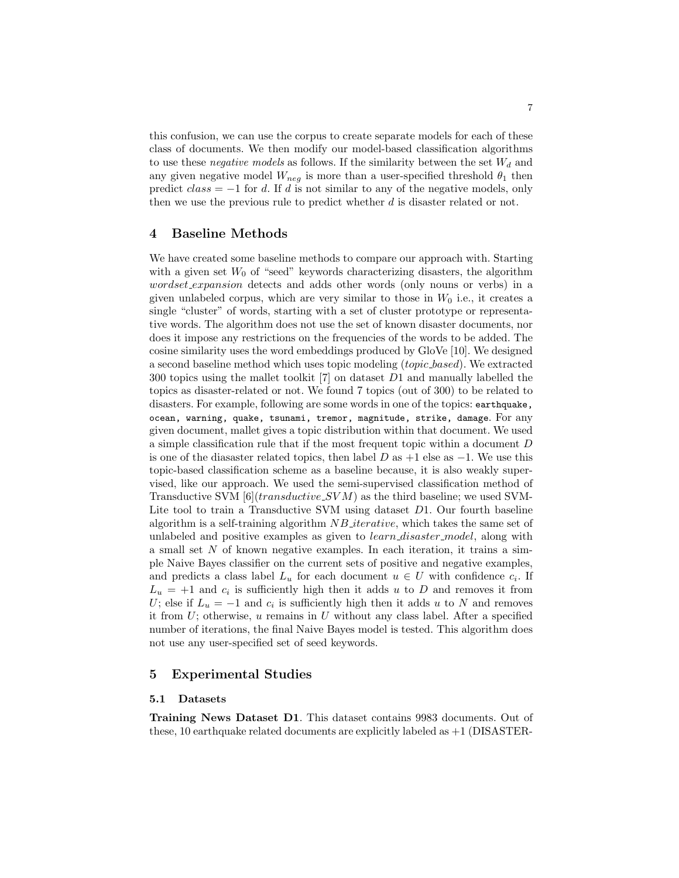this confusion, we can use the corpus to create separate models for each of these class of documents. We then modify our model-based classification algorithms to use these *negative models* as follows. If the similarity between the set  $W_d$  and any given negative model  $W_{neg}$  is more than a user-specified threshold  $\theta_1$  then predict  $class = -1$  for d. If d is not similar to any of the negative models, only then we use the previous rule to predict whether  $d$  is disaster related or not.

## 4 Baseline Methods

We have created some baseline methods to compare our approach with. Starting with a given set  $W_0$  of "seed" keywords characterizing disasters, the algorithm wordset expansion detects and adds other words (only nouns or verbs) in a given unlabeled corpus, which are very similar to those in  $W_0$  i.e., it creates a single "cluster" of words, starting with a set of cluster prototype or representative words. The algorithm does not use the set of known disaster documents, nor does it impose any restrictions on the frequencies of the words to be added. The cosine similarity uses the word embeddings produced by GloVe [10]. We designed a second baseline method which uses topic modeling (topic based). We extracted 300 topics using the mallet toolkit [7] on dataset D1 and manually labelled the topics as disaster-related or not. We found 7 topics (out of 300) to be related to disasters. For example, following are some words in one of the topics: earthquake, ocean, warning, quake, tsunami, tremor, magnitude, strike, damage. For any given document, mallet gives a topic distribution within that document. We used a simple classification rule that if the most frequent topic within a document D is one of the diasaster related topics, then label  $D$  as  $+1$  else as  $-1$ . We use this topic-based classification scheme as a baseline because, it is also weakly supervised, like our approach. We used the semi-supervised classification method of Transductive SVM  $[6](transductive$  SVM as the third baseline; we used SVM-Lite tool to train a Transductive SVM using dataset D1. Our fourth baseline algorithm is a self-training algorithm  $NB$  iterative, which takes the same set of unlabeled and positive examples as given to *learn\_disaster\_model*, along with a small set  $N$  of known negative examples. In each iteration, it trains a simple Naive Bayes classifier on the current sets of positive and negative examples, and predicts a class label  $L_u$  for each document  $u \in U$  with confidence  $c_i$ . If  $L_u = +1$  and  $c_i$  is sufficiently high then it adds u to D and removes it from U; else if  $L_u = -1$  and  $c_i$  is sufficiently high then it adds u to N and removes it from  $U$ ; otherwise, u remains in U without any class label. After a specified number of iterations, the final Naive Bayes model is tested. This algorithm does not use any user-specified set of seed keywords.

## 5 Experimental Studies

#### 5.1 Datasets

Training News Dataset D1. This dataset contains 9983 documents. Out of these, 10 earthquake related documents are explicitly labeled as  $+1$  (DISASTER-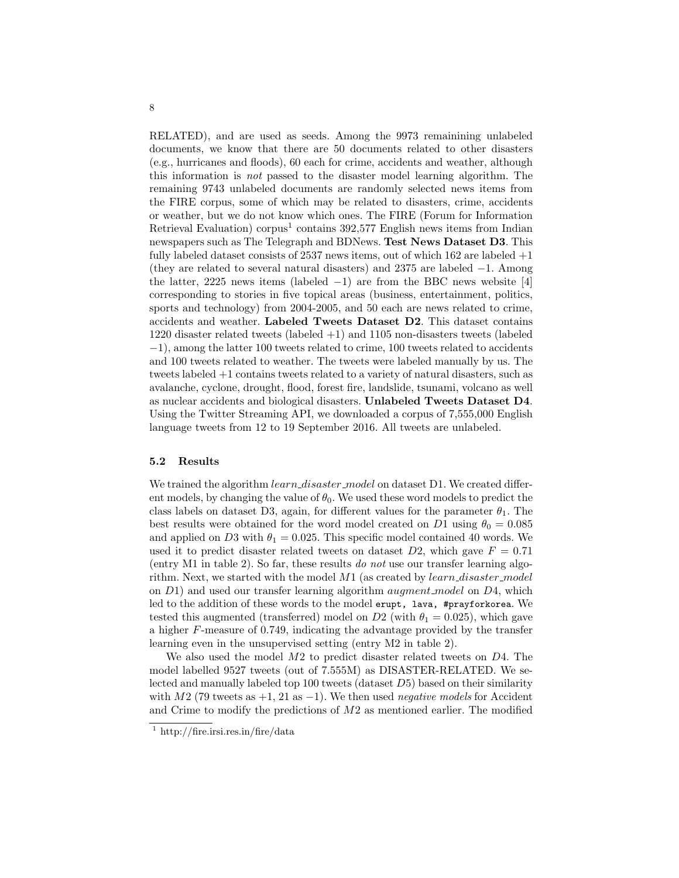RELATED), and are used as seeds. Among the 9973 remainining unlabeled documents, we know that there are 50 documents related to other disasters (e.g., hurricanes and floods), 60 each for crime, accidents and weather, although this information is not passed to the disaster model learning algorithm. The remaining 9743 unlabeled documents are randomly selected news items from the FIRE corpus, some of which may be related to disasters, crime, accidents or weather, but we do not know which ones. The FIRE (Forum for Information Retrieval Evaluation) corpus<sup>1</sup> contains 392,577 English news items from Indian newspapers such as The Telegraph and BDNews. Test News Dataset D3. This fully labeled dataset consists of  $2537$  news items, out of which  $162$  are labeled  $+1$ (they are related to several natural disasters) and 2375 are labeled −1. Among the latter, 2225 news items (labeled  $-1$ ) are from the BBC news website [4] corresponding to stories in five topical areas (business, entertainment, politics, sports and technology) from 2004-2005, and 50 each are news related to crime, accidents and weather. Labeled Tweets Dataset D2. This dataset contains 1220 disaster related tweets (labeled +1) and 1105 non-disasters tweets (labeled −1), among the latter 100 tweets related to crime, 100 tweets related to accidents and 100 tweets related to weather. The tweets were labeled manually by us. The tweets labeled +1 contains tweets related to a variety of natural disasters, such as avalanche, cyclone, drought, flood, forest fire, landslide, tsunami, volcano as well as nuclear accidents and biological disasters. Unlabeled Tweets Dataset D4. Using the Twitter Streaming API, we downloaded a corpus of 7,555,000 English language tweets from 12 to 19 September 2016. All tweets are unlabeled.

#### 5.2 Results

We trained the algorithm *learn\_disaster\_model* on dataset D1. We created different models, by changing the value of  $\theta_0$ . We used these word models to predict the class labels on dataset D3, again, for different values for the parameter  $\theta_1$ . The best results were obtained for the word model created on D1 using  $\theta_0 = 0.085$ and applied on D3 with  $\theta_1 = 0.025$ . This specific model contained 40 words. We used it to predict disaster related tweets on dataset  $D2$ , which gave  $F = 0.71$ (entry M1 in table 2). So far, these results do not use our transfer learning algorithm. Next, we started with the model  $M1$  (as created by  $learn\_disaster$ <sub>-model</sub> on  $D_1$ ) and used our transfer learning algorithm *augment\_model* on  $D_4$ , which led to the addition of these words to the model erupt, lava, #prayforkorea. We tested this augmented (transferred) model on D2 (with  $\theta_1 = 0.025$ ), which gave a higher F-measure of 0.749, indicating the advantage provided by the transfer learning even in the unsupervised setting (entry M2 in table 2).

We also used the model M2 to predict disaster related tweets on D4. The model labelled 9527 tweets (out of 7.555M) as DISASTER-RELATED. We selected and manually labeled top 100 tweets (dataset D5) based on their similarity with M2 (79 tweets as  $+1$ , 21 as  $-1$ ). We then used *negative models* for Accident and Crime to modify the predictions of M2 as mentioned earlier. The modified

<sup>&</sup>lt;sup>1</sup> http://fire.irsi.res.in/fire/data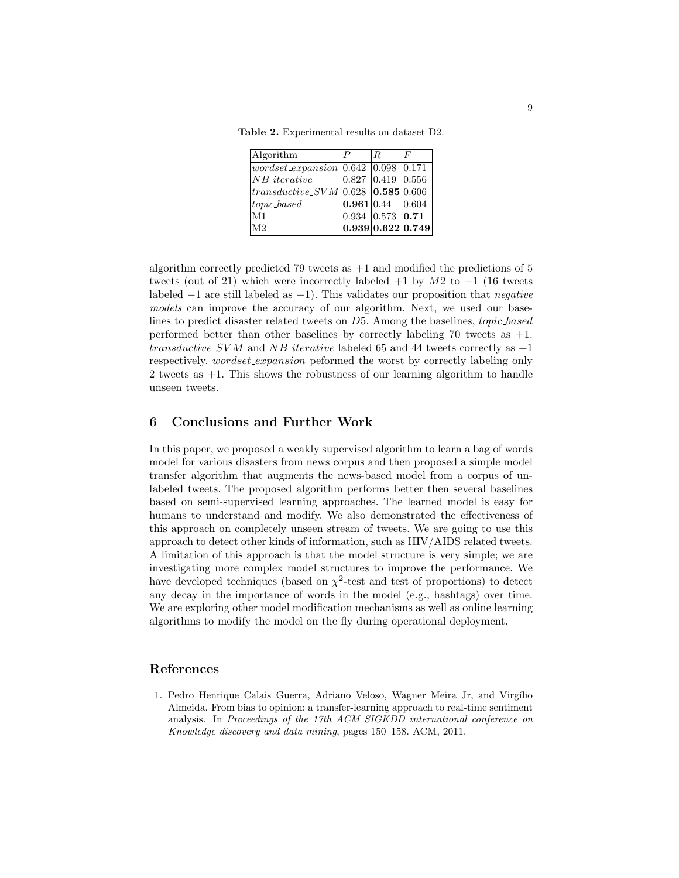Table 2. Experimental results on dataset D2.

| Algorithm                                     | $R_{\cdot}$                           | F |
|-----------------------------------------------|---------------------------------------|---|
| $wordset_{expansion}$   0.642   0.098   0.171 |                                       |   |
| $NB\_iterative$                               | $\vert 0.827 \vert 0.419 \vert 0.556$ |   |
| $ transductive\_SVM 0.628 0.585 0.606 $       |                                       |   |
| $topic\_based$                                | $\vert 0.961 \vert 0.44 \vert 0.604$  |   |
| M <sub>1</sub>                                | 0.934 0.573 0.71                      |   |
| M <sub>2</sub>                                | 0.939 0.622 0.749                     |   |

algorithm correctly predicted 79 tweets as  $+1$  and modified the predictions of 5 tweets (out of 21) which were incorrectly labeled  $+1$  by  $M2$  to  $-1$  (16 tweets labeled  $-1$  are still labeled as  $-1$ ). This validates our proposition that *negative* models can improve the accuracy of our algorithm. Next, we used our baselines to predict disaster related tweets on D5. Among the baselines, topic based performed better than other baselines by correctly labeling 70 tweets as +1. transductive SVM and NB iterative labeled 65 and 44 tweets correctly as  $+1$ respectively. *wordset\_expansion* peformed the worst by correctly labeling only 2 tweets as +1. This shows the robustness of our learning algorithm to handle unseen tweets.

### 6 Conclusions and Further Work

In this paper, we proposed a weakly supervised algorithm to learn a bag of words model for various disasters from news corpus and then proposed a simple model transfer algorithm that augments the news-based model from a corpus of unlabeled tweets. The proposed algorithm performs better then several baselines based on semi-supervised learning approaches. The learned model is easy for humans to understand and modify. We also demonstrated the effectiveness of this approach on completely unseen stream of tweets. We are going to use this approach to detect other kinds of information, such as HIV/AIDS related tweets. A limitation of this approach is that the model structure is very simple; we are investigating more complex model structures to improve the performance. We have developed techniques (based on  $\chi^2$ -test and test of proportions) to detect any decay in the importance of words in the model (e.g., hashtags) over time. We are exploring other model modification mechanisms as well as online learning algorithms to modify the model on the fly during operational deployment.

#### References

1. Pedro Henrique Calais Guerra, Adriano Veloso, Wagner Meira Jr, and Virgílio Almeida. From bias to opinion: a transfer-learning approach to real-time sentiment analysis. In Proceedings of the 17th ACM SIGKDD international conference on Knowledge discovery and data mining, pages 150–158. ACM, 2011.